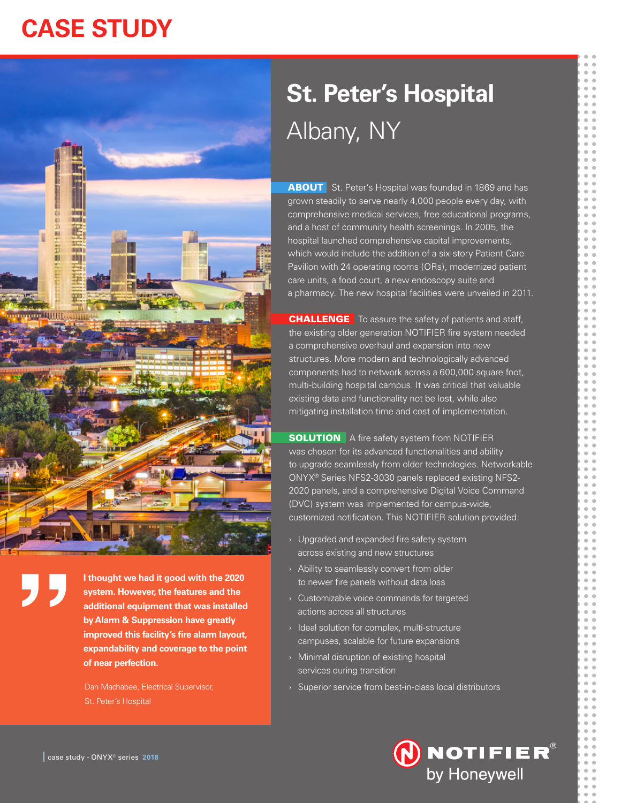# **CASE STUDY**

# **St. Peter's Hospital** Albany, NY

**ABOUT** St. Peter's Hospital was founded in 1869 and has grown steadily to serve nearly 4,000 people every day, with comprehensive medical services, free educational programs, and a host of community health screenings. In 2005, the hospital launched comprehensive capital improvements, which would include the addition of a six-story Patient Care Pavilion with 24 operating rooms (ORs), modernized patient care units, a food court, a new endoscopy suite and a pharmacy. The new hospital facilities were unveiled in 2011.

**CHALLENGE** To assure the safety of patients and staff, the existing older generation NOTIFIER fire system needed a comprehensive overhaul and expansion into new structures. More modern and technologically advanced components had to network across a 600,000 square foot, multi-building hospital campus. It was critical that valuable existing data and functionality not be lost, while also mitigating installation time and cost of implementation.

**SOLUTION** A fire safety system from NOTIFIER was chosen for its advanced functionalities and ability to upgrade seamlessly from older technologies. Networkable ONYX® Series NFS2-3030 panels replaced existing NFS2- 2020 panels, and a comprehensive Digital Voice Command (DVC) system was implemented for campus-wide, customized notification. This NOTIFIER solution provided:

- $\rightarrow$  Upgraded and expanded fire safety system across existing and new structures
- › Ability to seamlessly convert from older to newer fire panels without data loss
- › Customizable voice commands for targeted actions across all structures
- › Ideal solution for complex, multi-structure campuses, scalable for future expansions
- › Minimal disruption of existing hospital services during transition
- Dan Machabee, Electrical Supervisor, **Washington Supervisor, Superior service from best-in-class local distributors**





**I thought we had it good with the 2020 system. However, the features and the additional equipment that was installed by Alarm & Suppression have greatly improved this facility's fire alarm layout, expandability and coverage to the point of near perfection.**